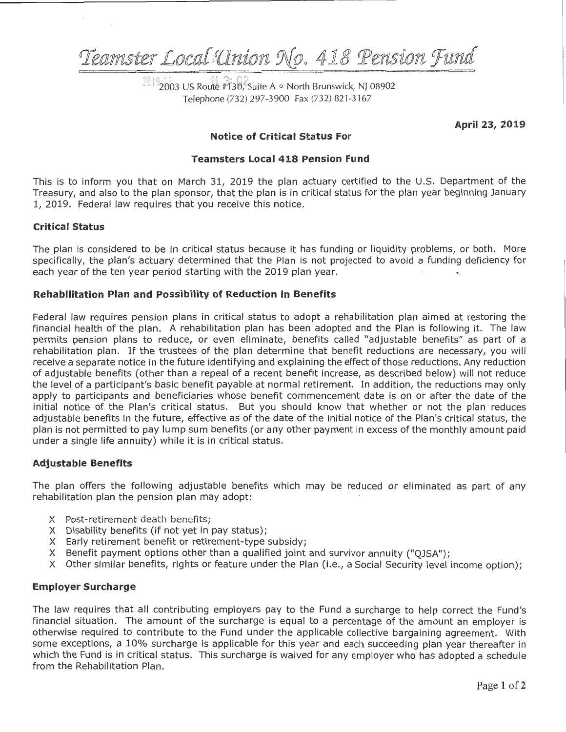Teamster Local Union No. 418 Pension Fund

20192003 US Route #130, Suite A · North Brunswick, NJ 08902 Telephone (732) 297-3900 Fax (732) 821-3167

April 23, 2019

# **Notice of Critical Status For**

## **Teamsters Local 418 Pension Fund**

This is to inform you that on March 31, 2019 the plan actuary certified to the U.S. Department of the Treasury, and also to the plan sponsor, that the plan is in critical status for the plan year beginning January 1, 2019. Federal law requires that you receive this notice.

## **Critical Status**

The plan is considered to be in critical status because it has funding or liquidity problems, or both. More specifically, the plan's actuary determined that the Plan is not projected to avoid a funding deficiency for each year of the ten year period starting with the 2019 plan year.

## Rehabilitation Plan and Possibility of Reduction in Benefits

Federal law requires pension plans in critical status to adopt a rehabilitation plan aimed at restoring the financial health of the plan. A rehabilitation plan has been adopted and the Plan is following it. The law permits pension plans to reduce, or even eliminate, benefits called "adjustable benefits" as part of a rehabilitation plan. If the trustees of the plan determine that benefit reductions are necessary, you will receive a separate notice in the future identifying and explaining the effect of those reductions. Any reduction of adjustable benefits (other than a repeal of a recent benefit increase, as described below) will not reduce the level of a participant's basic benefit payable at normal retirement. In addition, the reductions may only apply to participants and beneficiaries whose benefit commencement date is on or after the date of the initial notice of the Plan's critical status. But you should know that whether or not the plan reduces adjustable benefits in the future, effective as of the date of the initial notice of the Plan's critical status, the plan is not permitted to pay lump sum benefits (or any other payment in excess of the monthly amount paid under a single life annuity) while it is in critical status.

#### **Adjustable Benefits**

The plan offers the following adjustable benefits which may be reduced or eliminated as part of any rehabilitation plan the pension plan may adopt:

- X Post-retirement death benefits;
- X Disability benefits (if not yet in pay status);
- X Early retirement benefit or retirement-type subsidy;
- X Benefit payment options other than a qualified joint and survivor annuity ("QJSA");
- X Other similar benefits, rights or feature under the Plan (i.e., a Social Security level income option);

#### **Employer Surcharge**

The law requires that all contributing employers pay to the Fund a surcharge to help correct the Fund's financial situation. The amount of the surcharge is equal to a percentage of the amount an employer is otherwise required to contribute to the Fund under the applicable collective bargaining agreement. With some exceptions, a 10% surcharge is applicable for this year and each succeeding plan year thereafter in which the Fund is in critical status. This surcharge is waived for any employer who has adopted a schedule from the Rehabilitation Plan.